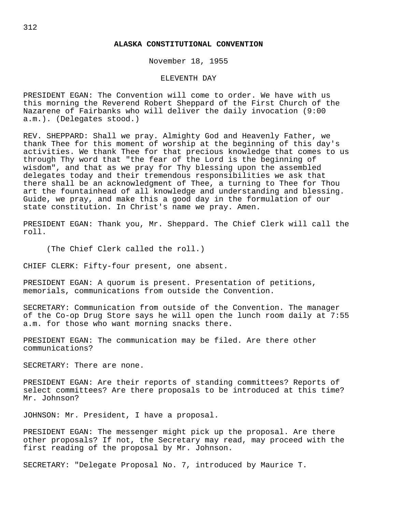## **ALASKA CONSTITUTIONAL CONVENTION**

November 18, 1955

## ELEVENTH DAY

PRESIDENT EGAN: The Convention will come to order. We have with us this morning the Reverend Robert Sheppard of the First Church of the Nazarene of Fairbanks who will deliver the daily invocation (9:00 a.m.). (Delegates stood.)

REV. SHEPPARD: Shall we pray. Almighty God and Heavenly Father, we thank Thee for this moment of worship at the beginning of this day's activities. We thank Thee for that precious knowledge that comes to us through Thy word that "the fear of the Lord is the beginning of wisdom", and that as we pray for Thy blessing upon the assembled delegates today and their tremendous responsibilities we ask that there shall be an acknowledgment of Thee, a turning to Thee for Thou art the fountainhead of all knowledge and understanding and blessing. Guide, we pray, and make this a good day in the formulation of our state constitution. In Christ's name we pray. Amen.

PRESIDENT EGAN: Thank you, Mr. Sheppard. The Chief Clerk will call the roll.

(The Chief Clerk called the roll.)

CHIEF CLERK: Fifty-four present, one absent.

PRESIDENT EGAN: A quorum is present. Presentation of petitions, memorials, communications from outside the Convention.

SECRETARY: Communication from outside of the Convention. The manager of the Co-op Drug Store says he will open the lunch room daily at 7:55 a.m. for those who want morning snacks there.

PRESIDENT EGAN: The communication may be filed. Are there other communications?

SECRETARY: There are none.

PRESIDENT EGAN: Are their reports of standing committees? Reports of select committees? Are there proposals to be introduced at this time? Mr. Johnson?

JOHNSON: Mr. President, I have a proposal.

PRESIDENT EGAN: The messenger might pick up the proposal. Are there other proposals? If not, the Secretary may read, may proceed with the first reading of the proposal by Mr. Johnson.

SECRETARY: "Delegate Proposal No. 7, introduced by Maurice T.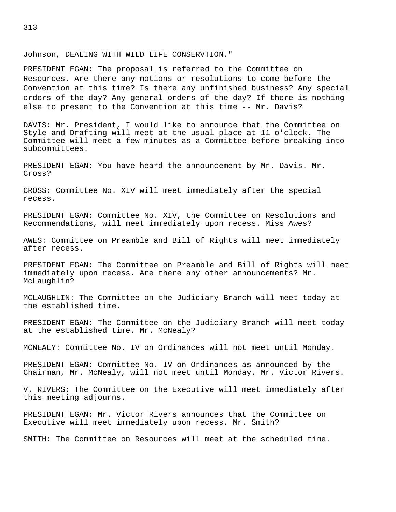## Johnson, DEALING WITH WILD LIFE CONSERVTION."

PRESIDENT EGAN: The proposal is referred to the Committee on Resources. Are there any motions or resolutions to come before the Convention at this time? Is there any unfinished business? Any special orders of the day? Any general orders of the day? If there is nothing else to present to the Convention at this time -- Mr. Davis?

DAVIS: Mr. President, I would like to announce that the Committee on Style and Drafting will meet at the usual place at 11 o'clock. The Committee will meet a few minutes as a Committee before breaking into subcommittees.

PRESIDENT EGAN: You have heard the announcement by Mr. Davis. Mr. Cross?

CROSS: Committee No. XIV will meet immediately after the special recess.

PRESIDENT EGAN: Committee No. XIV, the Committee on Resolutions and Recommendations, will meet immediately upon recess. Miss Awes?

AWES: Committee on Preamble and Bill of Rights will meet immediately after recess.

PRESIDENT EGAN: The Committee on Preamble and Bill of Rights will meet immediately upon recess. Are there any other announcements? Mr. McLaughlin?

MCLAUGHLIN: The Committee on the Judiciary Branch will meet today at the established time.

PRESIDENT EGAN: The Committee on the Judiciary Branch will meet today at the established time. Mr. McNealy?

MCNEALY: Committee No. IV on Ordinances will not meet until Monday.

PRESIDENT EGAN: Committee No. IV on Ordinances as announced by the Chairman, Mr. McNealy, will not meet until Monday. Mr. Victor Rivers.

V. RIVERS: The Committee on the Executive will meet immediately after this meeting adjourns.

PRESIDENT EGAN: Mr. Victor Rivers announces that the Committee on Executive will meet immediately upon recess. Mr. Smith?

SMITH: The Committee on Resources will meet at the scheduled time.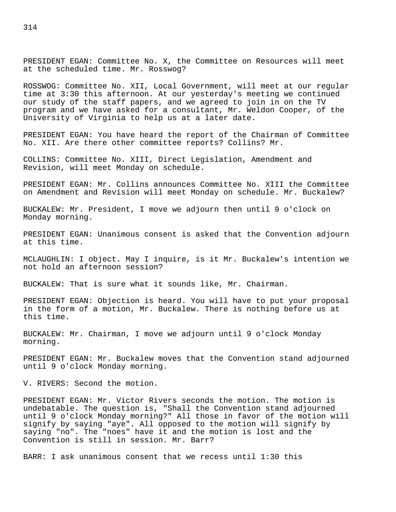PRESIDENT EGAN: Committee No. X, the Committee on Resources will meet at the scheduled time. Mr. Rosswog?

ROSSWOG: Committee No. XII, Local Government, will meet at our regular time at 3:30 this afternoon. At our yesterday's meeting we continued our study of the staff papers, and we agreed to join in on the TV program and we have asked for a consultant, Mr. Weldon Cooper, of the University of Virginia to help us at a later date.

PRESIDENT EGAN: You have heard the report of the Chairman of Committee No. XII. Are there other committee reports? Collins? Mr.

COLLINS: Committee No. XIII, Direct Legislation, Amendment and Revision, will meet Monday on schedule.

PRESIDENT EGAN: Mr. Collins announces Committee No. XIII the Committee on Amendment and Revision will meet Monday on schedule. Mr. Buckalew?

BUCKALEW: Mr. President, I move we adjourn then until 9 o'clock on Monday morning.

PRESIDENT EGAN: Unanimous consent is asked that the Convention adjourn at this time.

MCLAUGHLIN: I object. May I inquire, is it Mr. Buckalew's intention we not hold an afternoon session?

BUCKALEW: That is sure what it sounds like, Mr. Chairman.

PRESIDENT EGAN: Objection is heard. You will have to put your proposal in the form of a motion, Mr. Buckalew. There is nothing before us at this time.

BUCKALEW: Mr. Chairman, I move we adjourn until 9 o'clock Monday morning.

PRESIDENT EGAN: Mr. Buckalew moves that the Convention stand adjourned until 9 o'clock Monday morning.

V. RIVERS: Second the motion.

PRESIDENT EGAN: Mr. Victor Rivers seconds the motion. The motion is undebatable. The question is, "Shall the Convention stand adjourned until 9 o'clock Monday morning?" All those in favor of the motion will signify by saying "aye". All opposed to the motion will signify by saying "no". The "noes" have it and the motion is lost and the Convention is still in session. Mr. Barr?

BARR: I ask unanimous consent that we recess until 1:30 this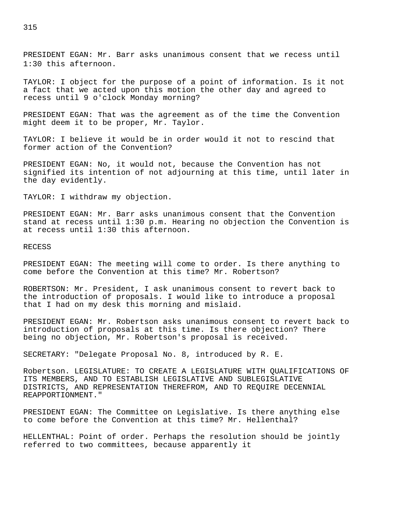PRESIDENT EGAN: Mr. Barr asks unanimous consent that we recess until 1:30 this afternoon.

TAYLOR: I object for the purpose of a point of information. Is it not a fact that we acted upon this motion the other day and agreed to recess until 9 o'clock Monday morning?

PRESIDENT EGAN: That was the agreement as of the time the Convention might deem it to be proper, Mr. Taylor.

TAYLOR: I believe it would be in order would it not to rescind that former action of the Convention?

PRESIDENT EGAN: No, it would not, because the Convention has not signified its intention of not adjourning at this time, until later in the day evidently.

TAYLOR: I withdraw my objection.

PRESIDENT EGAN: Mr. Barr asks unanimous consent that the Convention stand at recess until 1:30 p.m. Hearing no objection the Convention is at recess until 1:30 this afternoon.

RECESS

PRESIDENT EGAN: The meeting will come to order. Is there anything to come before the Convention at this time? Mr. Robertson?

ROBERTSON: Mr. President, I ask unanimous consent to revert back to the introduction of proposals. I would like to introduce a proposal that I had on my desk this morning and mislaid.

PRESIDENT EGAN: Mr. Robertson asks unanimous consent to revert back to introduction of proposals at this time. Is there objection? There being no objection, Mr. Robertson's proposal is received.

SECRETARY: "Delegate Proposal No. 8, introduced by R. E.

Robertson. LEGISLATURE: TO CREATE A LEGISLATURE WITH QUALIFICATIONS OF ITS MEMBERS, AND TO ESTABLISH LEGISLATIVE AND SUBLEGISLATIVE DISTRICTS, AND REPRESENTATION THEREFROM, AND TO REQUIRE DECENNIAL REAPPORTIONMENT."

PRESIDENT EGAN: The Committee on Legislative. Is there anything else to come before the Convention at this time? Mr. Hellenthal?

HELLENTHAL: Point of order. Perhaps the resolution should be jointly referred to two committees, because apparently it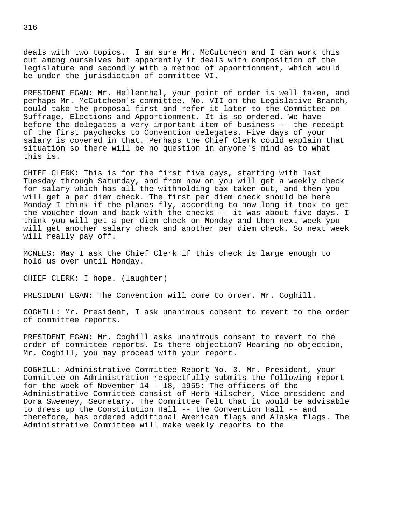deals with two topics. I am sure Mr. McCutcheon and I can work this out among ourselves but apparently it deals with composition of the legislature and secondly with a method of apportionment, which would be under the jurisdiction of committee VI.

PRESIDENT EGAN: Mr. Hellenthal, your point of order is well taken, and perhaps Mr. McCutcheon's committee, No. VII on the Legislative Branch, could take the proposal first and refer it later to the Committee on Suffrage, Elections and Apportionment. It is so ordered. We have before the delegates a very important item of business -- the receipt of the first paychecks to Convention delegates. Five days of your salary is covered in that. Perhaps the Chief Clerk could explain that situation so there will be no question in anyone's mind as to what this is.

CHIEF CLERK: This is for the first five days, starting with last Tuesday through Saturday, and from now on you will get a weekly check for salary which has all the withholding tax taken out, and then you will get a per diem check. The first per diem check should be here Monday I think if the planes fly, according to how long it took to get the voucher down and back with the checks -- it was about five days. I think you will get a per diem check on Monday and then next week you will get another salary check and another per diem check. So next week will really pay off.

MCNEES: May I ask the Chief Clerk if this check is large enough to hold us over until Monday.

CHIEF CLERK: I hope. (laughter)

PRESIDENT EGAN: The Convention will come to order. Mr. Coghill.

COGHILL: Mr. President, I ask unanimous consent to revert to the order of committee reports.

PRESIDENT EGAN: Mr. Coghill asks unanimous consent to revert to the order of committee reports. Is there objection? Hearing no objection, Mr. Coghill, you may proceed with your report.

COGHILL: Administrative Committee Report No. 3. Mr. President, your Committee on Administration respectfully submits the following report for the week of November 14 - 18, 1955: The officers of the Administrative Committee consist of Herb Hilscher, Vice president and Dora Sweeney, Secretary. The Committee felt that it would be advisable to dress up the Constitution Hall -- the Convention Hall -- and therefore, has ordered additional American flags and Alaska flags. The Administrative Committee will make weekly reports to the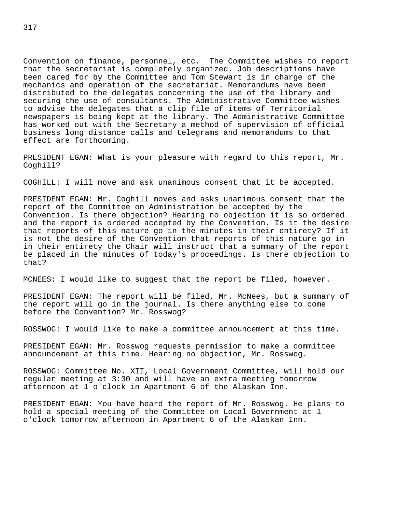Convention on finance, personnel, etc. The Committee wishes to report that the secretariat is completely organized. Job descriptions have been cared for by the Committee and Tom Stewart is in charge of the mechanics and operation of the secretariat. Memorandums have been distributed to the delegates concerning the use of the library and securing the use of consultants. The Administrative Committee wishes to advise the delegates that a clip file of items of Territorial newspapers is being kept at the library. The Administrative Committee has worked out with the Secretary a method of supervision of official business long distance calls and telegrams and memorandums to that effect are forthcoming.

PRESIDENT EGAN: What is your pleasure with regard to this report, Mr. Coghill?

COGHILL: I will move and ask unanimous consent that it be accepted.

PRESIDENT EGAN: Mr. Coghill moves and asks unanimous consent that the report of the Committee on Administration be accepted by the Convention. Is there objection? Hearing no objection it is so ordered and the report is ordered accepted by the Convention. Is it the desire that reports of this nature go in the minutes in their entirety? If it is not the desire of the Convention that reports of this nature go in in their entirety the Chair will instruct that a summary of the report be placed in the minutes of today's proceedings. Is there objection to that?

MCNEES: I would like to suggest that the report be filed, however.

PRESIDENT EGAN: The report will be filed, Mr. McNees, but a summary of the report will go in the journal. Is there anything else to come before the Convention? Mr. Rosswog?

ROSSWOG: I would like to make a committee announcement at this time.

PRESIDENT EGAN: Mr. Rosswog requests permission to make a committee announcement at this time. Hearing no objection, Mr. Rosswog.

ROSSWOG: Committee No. XII, Local Government Committee, will hold our regular meeting at 3:30 and will have an extra meeting tomorrow afternoon at 1 o'clock in Apartment 6 of the Alaskan Inn.

PRESIDENT EGAN: You have heard the report of Mr. Rosswog. He plans to hold a special meeting of the Committee on Local Government at 1 o'clock tomorrow afternoon in Apartment 6 of the Alaskan Inn.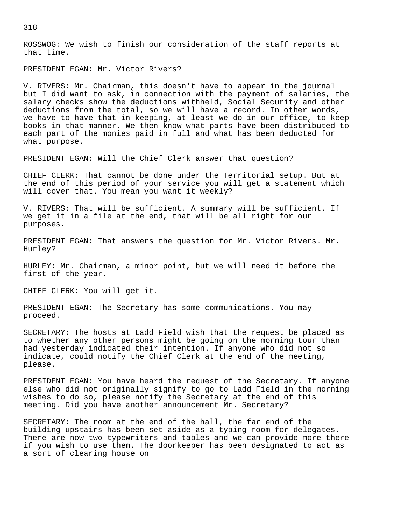ROSSWOG: We wish to finish our consideration of the staff reports at that time.

PRESIDENT EGAN: Mr. Victor Rivers?

V. RIVERS: Mr. Chairman, this doesn't have to appear in the journal but I did want to ask, in connection with the payment of salaries, the salary checks show the deductions withheld, Social Security and other deductions from the total, so we will have a record. In other words, we have to have that in keeping, at least we do in our office, to keep books in that manner. We then know what parts have been distributed to each part of the monies paid in full and what has been deducted for what purpose.

PRESIDENT EGAN: Will the Chief Clerk answer that question?

CHIEF CLERK: That cannot be done under the Territorial setup. But at the end of this period of your service you will get a statement which will cover that. You mean you want it weekly?

V. RIVERS: That will be sufficient. A summary will be sufficient. If we get it in a file at the end, that will be all right for our purposes.

PRESIDENT EGAN: That answers the question for Mr. Victor Rivers. Mr. Hurley?

HURLEY: Mr. Chairman, a minor point, but we will need it before the first of the year.

CHIEF CLERK: You will get it.

PRESIDENT EGAN: The Secretary has some communications. You may proceed.

SECRETARY: The hosts at Ladd Field wish that the request be placed as to whether any other persons might be going on the morning tour than had yesterday indicated their intention. If anyone who did not so indicate, could notify the Chief Clerk at the end of the meeting, please.

PRESIDENT EGAN: You have heard the request of the Secretary. If anyone else who did not originally signify to go to Ladd Field in the morning wishes to do so, please notify the Secretary at the end of this meeting. Did you have another announcement Mr. Secretary?

SECRETARY: The room at the end of the hall, the far end of the building upstairs has been set aside as a typing room for delegates. There are now two typewriters and tables and we can provide more there if you wish to use them. The doorkeeper has been designated to act as a sort of clearing house on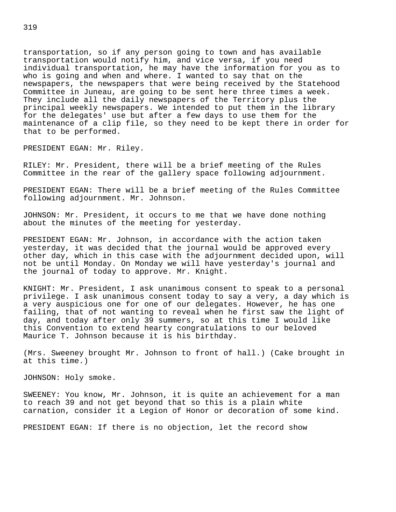transportation, so if any person going to town and has available transportation would notify him, and vice versa, if you need individual transportation, he may have the information for you as to who is going and when and where. I wanted to say that on the newspapers, the newspapers that were being received by the Statehood Committee in Juneau, are going to be sent here three times a week. They include all the daily newspapers of the Territory plus the principal weekly newspapers. We intended to put them in the library for the delegates' use but after a few days to use them for the maintenance of a clip file, so they need to be kept there in order for that to be performed.

PRESIDENT EGAN: Mr. Riley.

RILEY: Mr. President, there will be a brief meeting of the Rules Committee in the rear of the gallery space following adjournment.

PRESIDENT EGAN: There will be a brief meeting of the Rules Committee following adjournment. Mr. Johnson.

JOHNSON: Mr. President, it occurs to me that we have done nothing about the minutes of the meeting for yesterday.

PRESIDENT EGAN: Mr. Johnson, in accordance with the action taken yesterday, it was decided that the journal would be approved every other day, which in this case with the adjournment decided upon, will not be until Monday. On Monday we will have yesterday's journal and the journal of today to approve. Mr. Knight.

KNIGHT: Mr. President, I ask unanimous consent to speak to a personal privilege. I ask unanimous consent today to say a very, a day which is a very auspicious one for one of our delegates. However, he has one failing, that of not wanting to reveal when he first saw the light of day, and today after only 39 summers, so at this time I would like this Convention to extend hearty congratulations to our beloved Maurice T. Johnson because it is his birthday.

(Mrs. Sweeney brought Mr. Johnson to front of hall.) (Cake brought in at this time.)

JOHNSON: Holy smoke.

SWEENEY: You know, Mr. Johnson, it is quite an achievement for a man to reach 39 and not get beyond that so this is a plain white carnation, consider it a Legion of Honor or decoration of some kind.

PRESIDENT EGAN: If there is no objection, let the record show